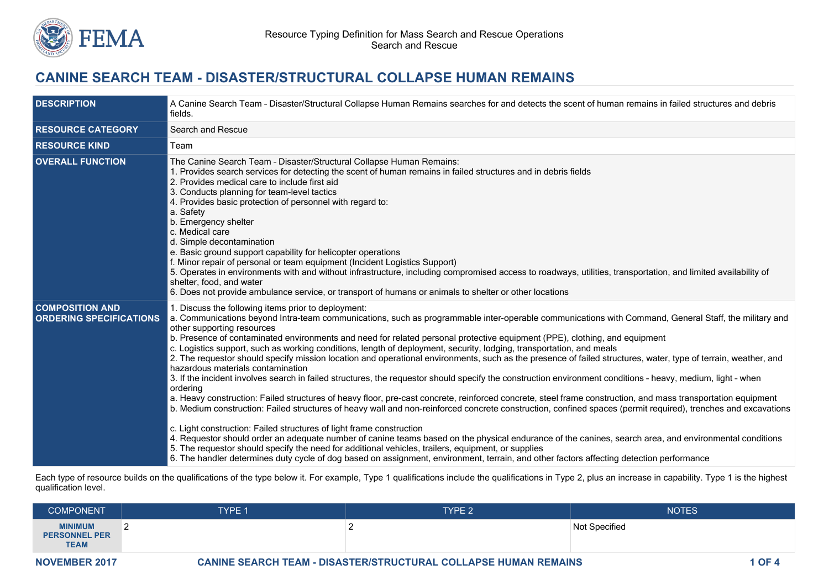

# **CANINE SEARCH TEAM - DISASTER/STRUCTURAL COLLAPSE HUMAN REMAINS**

| <b>DESCRIPTION</b>                                       | A Canine Search Team - Disaster/Structural Collapse Human Remains searches for and detects the scent of human remains in failed structures and debris<br>fields.                                                                                                                                                                                                                                                                                                                                                                                                                                                                                                                                                                                                                                                                                                                                                                                                                                                                                                                                                                                                                                                                                                                                                                                                                                                                                                                                                                                                                                                                                                                                       |  |  |
|----------------------------------------------------------|--------------------------------------------------------------------------------------------------------------------------------------------------------------------------------------------------------------------------------------------------------------------------------------------------------------------------------------------------------------------------------------------------------------------------------------------------------------------------------------------------------------------------------------------------------------------------------------------------------------------------------------------------------------------------------------------------------------------------------------------------------------------------------------------------------------------------------------------------------------------------------------------------------------------------------------------------------------------------------------------------------------------------------------------------------------------------------------------------------------------------------------------------------------------------------------------------------------------------------------------------------------------------------------------------------------------------------------------------------------------------------------------------------------------------------------------------------------------------------------------------------------------------------------------------------------------------------------------------------------------------------------------------------------------------------------------------------|--|--|
| <b>RESOURCE CATEGORY</b>                                 | Search and Rescue                                                                                                                                                                                                                                                                                                                                                                                                                                                                                                                                                                                                                                                                                                                                                                                                                                                                                                                                                                                                                                                                                                                                                                                                                                                                                                                                                                                                                                                                                                                                                                                                                                                                                      |  |  |
| <b>RESOURCE KIND</b>                                     | Team                                                                                                                                                                                                                                                                                                                                                                                                                                                                                                                                                                                                                                                                                                                                                                                                                                                                                                                                                                                                                                                                                                                                                                                                                                                                                                                                                                                                                                                                                                                                                                                                                                                                                                   |  |  |
| <b>OVERALL FUNCTION</b>                                  | The Canine Search Team - Disaster/Structural Collapse Human Remains:<br>1. Provides search services for detecting the scent of human remains in failed structures and in debris fields<br>2. Provides medical care to include first aid<br>3. Conducts planning for team-level tactics<br>4. Provides basic protection of personnel with regard to:<br>a. Safety<br>b. Emergency shelter<br>c. Medical care<br>d. Simple decontamination<br>e. Basic ground support capability for helicopter operations<br>f. Minor repair of personal or team equipment (Incident Logistics Support)<br>5. Operates in environments with and without infrastructure, including compromised access to roadways, utilities, transportation, and limited availability of<br>shelter, food, and water<br>6. Does not provide ambulance service, or transport of humans or animals to shelter or other locations                                                                                                                                                                                                                                                                                                                                                                                                                                                                                                                                                                                                                                                                                                                                                                                                          |  |  |
| <b>COMPOSITION AND</b><br><b>ORDERING SPECIFICATIONS</b> | 1. Discuss the following items prior to deployment:<br>a. Communications beyond Intra-team communications, such as programmable inter-operable communications with Command, General Staff, the military and<br>other supporting resources<br>b. Presence of contaminated environments and need for related personal protective equipment (PPE), clothing, and equipment<br>c. Logistics support, such as working conditions, length of deployment, security, lodging, transportation, and meals<br>2. The requestor should specify mission location and operational environments, such as the presence of failed structures, water, type of terrain, weather, and<br>hazardous materials contamination<br>3. If the incident involves search in failed structures, the requestor should specify the construction environment conditions - heavy, medium, light - when<br>ordering<br>a. Heavy construction: Failed structures of heavy floor, pre-cast concrete, reinforced concrete, steel frame construction, and mass transportation equipment<br>b. Medium construction: Failed structures of heavy wall and non-reinforced concrete construction, confined spaces (permit required), trenches and excavations<br>c. Light construction: Failed structures of light frame construction<br>4. Requestor should order an adequate number of canine teams based on the physical endurance of the canines, search area, and environmental conditions<br>5. The requestor should specify the need for additional vehicles, trailers, equipment, or supplies<br>6. The handler determines duty cycle of dog based on assignment, environment, terrain, and other factors affecting detection performance |  |  |

Each type of resource builds on the qualifications of the type below it. For example, Type 1 qualifications include the qualifications in Type 2, plus an increase in capability. Type 1 is the highest qualification level.

| <b>COMPONENT</b>                                      | TYPE 1   | <b>TYPE 2</b> | <b>NOTES</b>  |
|-------------------------------------------------------|----------|---------------|---------------|
| <b>MINIMUM</b><br><b>PERSONNEL PER</b><br><b>TEAM</b> | <u>_</u> |               | Not Specified |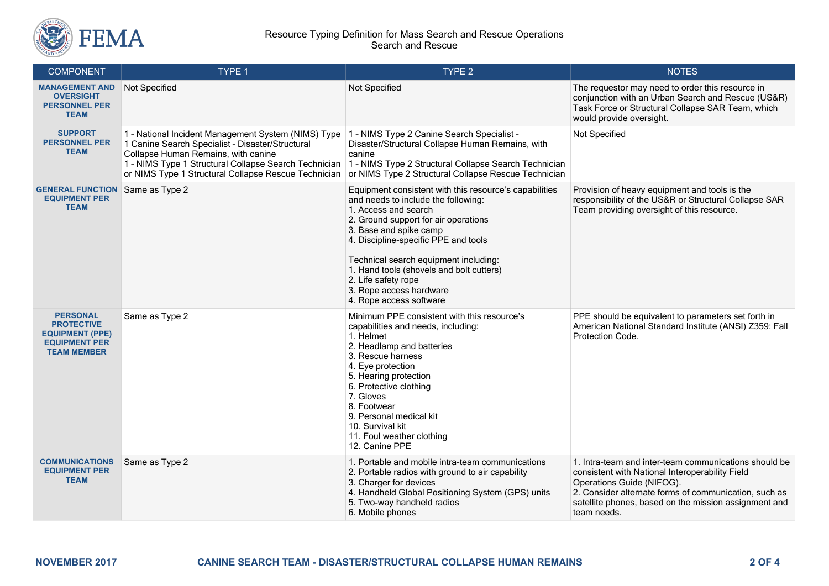

#### Resource Typing Definition for Mass Search and Rescue Operations Search and Rescue

| <b>COMPONENT</b>                                                                                             | TYPE 1                                                                                                                                                                                                                                                          | TYPE 2                                                                                                                                                                                                                                                                                                                                                                                            | <b>NOTES</b>                                                                                                                                                                                                                                                           |
|--------------------------------------------------------------------------------------------------------------|-----------------------------------------------------------------------------------------------------------------------------------------------------------------------------------------------------------------------------------------------------------------|---------------------------------------------------------------------------------------------------------------------------------------------------------------------------------------------------------------------------------------------------------------------------------------------------------------------------------------------------------------------------------------------------|------------------------------------------------------------------------------------------------------------------------------------------------------------------------------------------------------------------------------------------------------------------------|
| <b>MANAGEMENT AND</b><br><b>OVERSIGHT</b><br><b>PERSONNEL PER</b><br><b>TEAM</b>                             | Not Specified                                                                                                                                                                                                                                                   | Not Specified                                                                                                                                                                                                                                                                                                                                                                                     | The requestor may need to order this resource in<br>conjunction with an Urban Search and Rescue (US&R)<br>Task Force or Structural Collapse SAR Team, which<br>would provide oversight.                                                                                |
| <b>SUPPORT</b><br><b>PERSONNEL PER</b><br><b>TEAM</b>                                                        | 1 - National Incident Management System (NIMS) Type<br>1 Canine Search Specialist - Disaster/Structural<br>Collapse Human Remains, with canine<br>1 - NIMS Type 1 Structural Collapse Search Technician<br>or NIMS Type 1 Structural Collapse Rescue Technician | 1 - NIMS Type 2 Canine Search Specialist -<br>Disaster/Structural Collapse Human Remains, with<br>canine<br>1 - NIMS Type 2 Structural Collapse Search Technician<br>or NIMS Type 2 Structural Collapse Rescue Technician                                                                                                                                                                         | Not Specified                                                                                                                                                                                                                                                          |
| <b>GENERAL FUNCTION</b><br><b>EQUIPMENT PER</b><br><b>TEAM</b>                                               | Same as Type 2                                                                                                                                                                                                                                                  | Equipment consistent with this resource's capabilities<br>and needs to include the following:<br>1. Access and search<br>2. Ground support for air operations<br>3. Base and spike camp<br>4. Discipline-specific PPE and tools<br>Technical search equipment including:<br>1. Hand tools (shovels and bolt cutters)<br>2. Life safety rope<br>3. Rope access hardware<br>4. Rope access software | Provision of heavy equipment and tools is the<br>responsibility of the US&R or Structural Collapse SAR<br>Team providing oversight of this resource.                                                                                                                   |
| <b>PERSONAL</b><br><b>PROTECTIVE</b><br><b>EQUIPMENT (PPE)</b><br><b>EQUIPMENT PER</b><br><b>TEAM MEMBER</b> | Same as Type 2                                                                                                                                                                                                                                                  | Minimum PPE consistent with this resource's<br>capabilities and needs, including:<br>1. Helmet<br>2. Headlamp and batteries<br>3. Rescue harness<br>4. Eye protection<br>5. Hearing protection<br>6. Protective clothing<br>7. Gloves<br>8. Footwear<br>9. Personal medical kit<br>10. Survival kit<br>11. Foul weather clothing<br>12. Canine PPE                                                | PPE should be equivalent to parameters set forth in<br>American National Standard Institute (ANSI) Z359: Fall<br>Protection Code.                                                                                                                                      |
| <b>COMMUNICATIONS</b><br><b>EQUIPMENT PER</b><br><b>TEAM</b>                                                 | Same as Type 2                                                                                                                                                                                                                                                  | 1. Portable and mobile intra-team communications<br>2. Portable radios with ground to air capability<br>3. Charger for devices<br>4. Handheld Global Positioning System (GPS) units<br>5. Two-way handheld radios<br>6. Mobile phones                                                                                                                                                             | 1. Intra-team and inter-team communications should be<br>consistent with National Interoperability Field<br>Operations Guide (NIFOG).<br>2. Consider alternate forms of communication, such as<br>satellite phones, based on the mission assignment and<br>team needs. |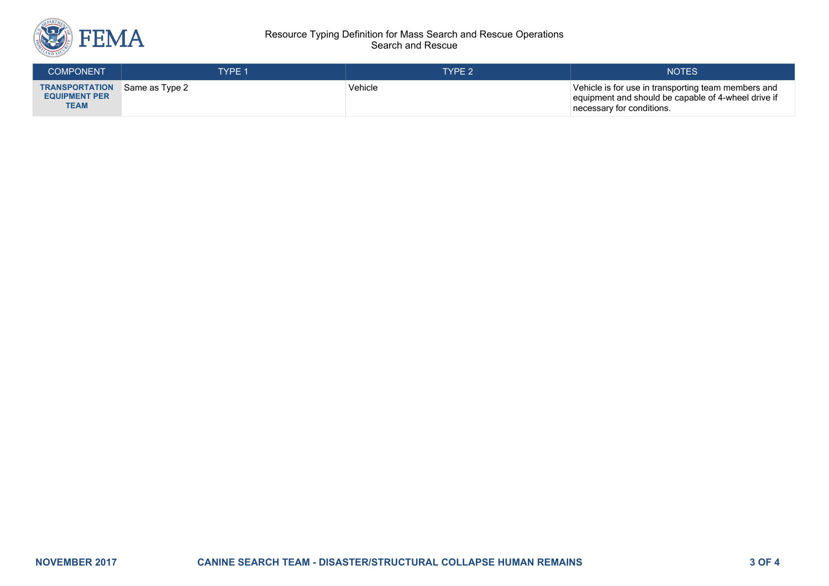

#### Resource Typing Definition for Mass Search and Rescue Operations Search and Rescue

| <b>COMPONENT</b>                                             | <b>TYPE 1</b>  | TYPE 2  | <b>NOTES</b>                                                                                                                            |
|--------------------------------------------------------------|----------------|---------|-----------------------------------------------------------------------------------------------------------------------------------------|
| <b>TRANSPORTATION</b><br><b>EQUIPMENT PER</b><br><b>TEAM</b> | Same as Type 2 | Vehicle | Vehicle is for use in transporting team members and<br>equipment and should be capable of 4-wheel drive if<br>necessary for conditions. |